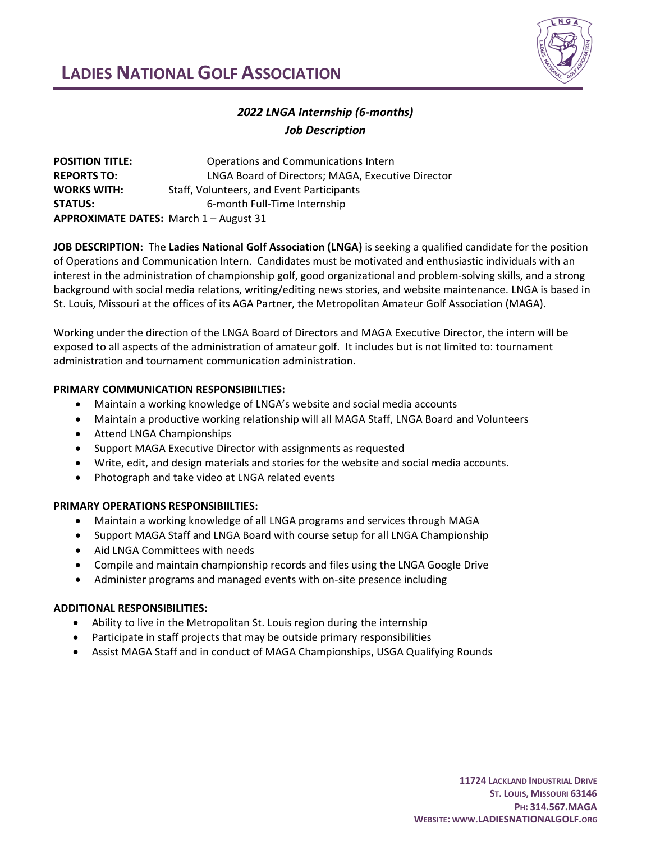

# **LADIES NATIONAL GOLF ASSOCIATION**

## *2022 LNGA Internship (6-months) Job Description*

| <b>POSITION TITLE:</b>                 | Operations and Communications Intern              |
|----------------------------------------|---------------------------------------------------|
| <b>REPORTS TO:</b>                     | LNGA Board of Directors; MAGA, Executive Director |
| <b>WORKS WITH:</b>                     | Staff, Volunteers, and Event Participants         |
| <b>STATUS:</b>                         | 6-month Full-Time Internship                      |
| APPROXIMATE DATES: March 1 - August 31 |                                                   |

**JOB DESCRIPTION:** The **Ladies National Golf Association (LNGA)** is seeking a qualified candidate for the position of Operations and Communication Intern. Candidates must be motivated and enthusiastic individuals with an interest in the administration of championship golf, good organizational and problem-solving skills, and a strong background with social media relations, writing/editing news stories, and website maintenance. LNGA is based in St. Louis, Missouri at the offices of its AGA Partner, the Metropolitan Amateur Golf Association (MAGA).

Working under the direction of the LNGA Board of Directors and MAGA Executive Director, the intern will be exposed to all aspects of the administration of amateur golf. It includes but is not limited to: tournament administration and tournament communication administration.

### **PRIMARY COMMUNICATION RESPONSIBIILTIES:**

- Maintain a working knowledge of LNGA's website and social media accounts
- Maintain a productive working relationship will all MAGA Staff, LNGA Board and Volunteers
- Attend LNGA Championships
- Support MAGA Executive Director with assignments as requested
- Write, edit, and design materials and stories for the website and social media accounts.
- Photograph and take video at LNGA related events

### **PRIMARY OPERATIONS RESPONSIBIILTIES:**

- Maintain a working knowledge of all LNGA programs and services through MAGA
- Support MAGA Staff and LNGA Board with course setup for all LNGA Championship
- Aid LNGA Committees with needs
- Compile and maintain championship records and files using the LNGA Google Drive
- Administer programs and managed events with on-site presence including

### **ADDITIONAL RESPONSIBILITIES:**

- Ability to live in the Metropolitan St. Louis region during the internship
- Participate in staff projects that may be outside primary responsibilities
- Assist MAGA Staff and in conduct of MAGA Championships, USGA Qualifying Rounds